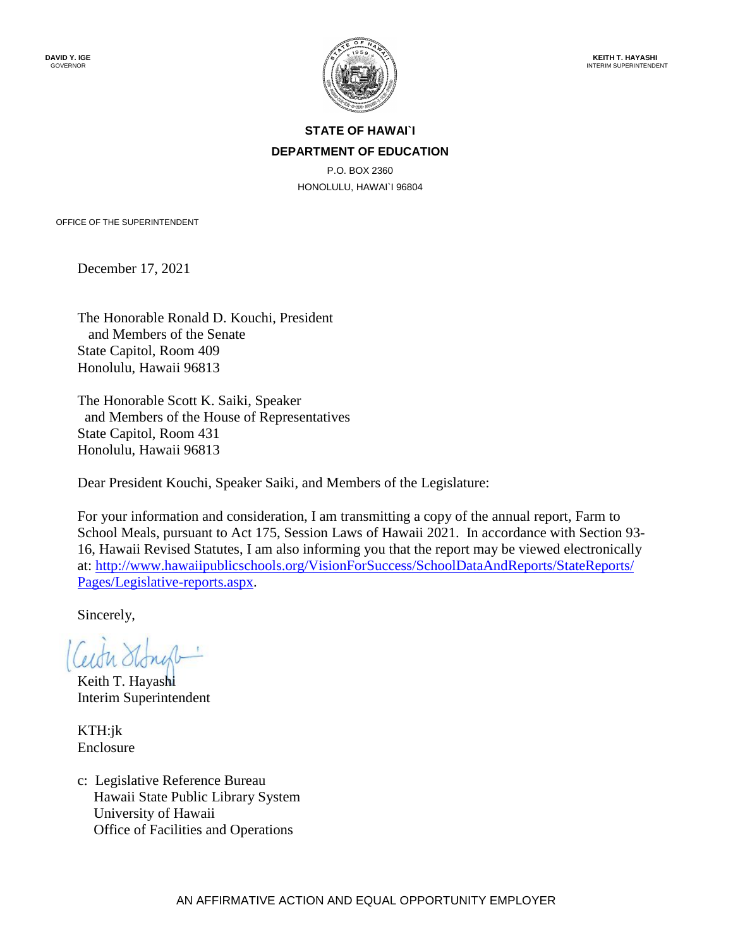

### **STATE OF HAWAI`I DEPARTMENT OF EDUCATION**

P.O. BOX 2360 HONOLULU, HAWAI`I 96804

OFFICE OF THE SUPERINTENDENT

December 17, 2021

The Honorable Ronald D. Kouchi, President and Members of the Senate State Capitol, Room 409 Honolulu, Hawaii 96813

The Honorable Scott K. Saiki, Speaker and Members of the House of Representatives State Capitol, Room 431 Honolulu, Hawaii 96813

Dear President Kouchi, Speaker Saiki, and Members of the Legislature:

For your information and consideration, I am transmitting a copy of the annual report, Farm to School Meals, pursuant to Act 175, Session Laws of Hawaii 2021. In accordance with Section 93- 16, Hawaii Revised Statutes, I am also informing you that the report may be viewed electronically at: [http://www.hawaiipublicschools.org/VisionForSuccess/SchoolDataAndReports/StateReports/](http://www.hawaiipublicschools.org/VisionForSuccess/SchoolDataAndReports/StateReports/Pages/Legislative-reports.aspx)  [Pages/Legislative-reports.aspx.](http://www.hawaiipublicschools.org/VisionForSuccess/SchoolDataAndReports/StateReports/Pages/Legislative-reports.aspx)

Sincerely,

Keith T. Hayashi Interim Superintendent

KTH:jk Enclosure

c: Legislative Reference Bureau Hawaii State Public Library System University of Hawaii Office of Facilities and Operations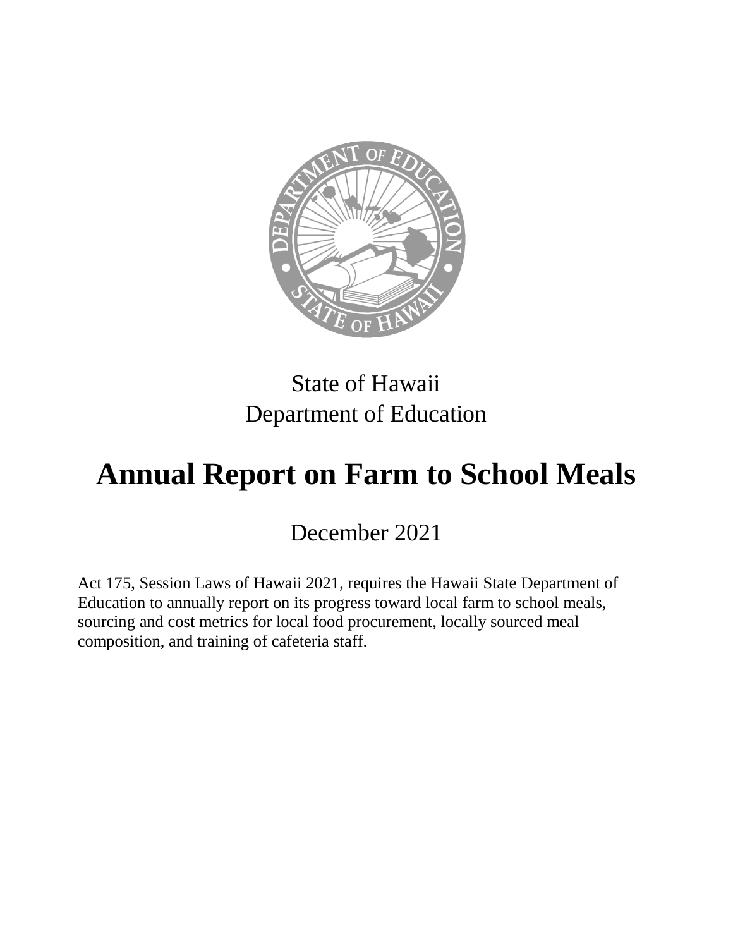

## State of Hawaii Department of Education

# **Annual Report on Farm to School Meals**

December 2021

Act 175, Session Laws of Hawaii 2021, requires the Hawaii State Department of Education to annually report on its progress toward local farm to school meals, sourcing and cost metrics for local food procurement, locally sourced meal composition, and training of cafeteria staff.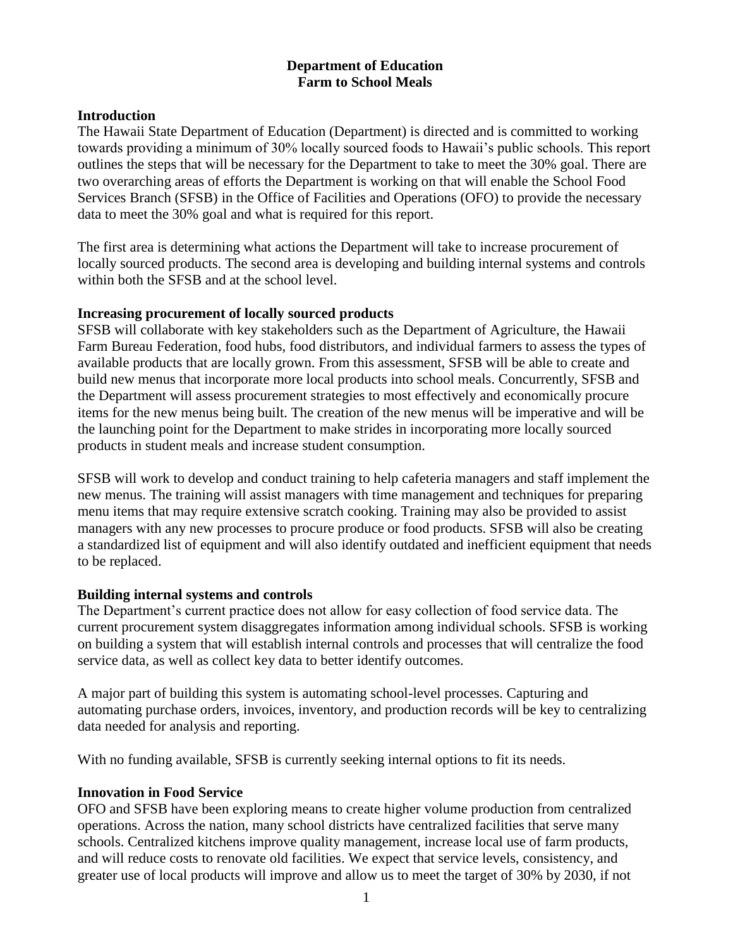#### **Department of Education Farm to School Meals**

#### **Introduction**

The Hawaii State Department of Education (Department) is directed and is committed to working towards providing a minimum of 30% locally sourced foods to Hawaii's public schools. This report outlines the steps that will be necessary for the Department to take to meet the 30% goal. There are two overarching areas of efforts the Department is working on that will enable the School Food Services Branch (SFSB) in the Office of Facilities and Operations (OFO) to provide the necessary data to meet the 30% goal and what is required for this report.

The first area is determining what actions the Department will take to increase procurement of locally sourced products. The second area is developing and building internal systems and controls within both the SFSB and at the school level.

#### **Increasing procurement of locally sourced products**

SFSB will collaborate with key stakeholders such as the Department of Agriculture, the Hawaii Farm Bureau Federation, food hubs, food distributors, and individual farmers to assess the types of available products that are locally grown. From this assessment, SFSB will be able to create and build new menus that incorporate more local products into school meals. Concurrently, SFSB and the Department will assess procurement strategies to most effectively and economically procure items for the new menus being built. The creation of the new menus will be imperative and will be the launching point for the Department to make strides in incorporating more locally sourced products in student meals and increase student consumption.

SFSB will work to develop and conduct training to help cafeteria managers and staff implement the new menus. The training will assist managers with time management and techniques for preparing menu items that may require extensive scratch cooking. Training may also be provided to assist managers with any new processes to procure produce or food products. SFSB will also be creating a standardized list of equipment and will also identify outdated and inefficient equipment that needs to be replaced.

#### **Building internal systems and controls**

The Department's current practice does not allow for easy collection of food service data. The current procurement system disaggregates information among individual schools. SFSB is working on building a system that will establish internal controls and processes that will centralize the food service data, as well as collect key data to better identify outcomes.

A major part of building this system is automating school-level processes. Capturing and automating purchase orders, invoices, inventory, and production records will be key to centralizing data needed for analysis and reporting.

With no funding available, SFSB is currently seeking internal options to fit its needs.

#### **Innovation in Food Service**

OFO and SFSB have been exploring means to create higher volume production from centralized operations. Across the nation, many school districts have centralized facilities that serve many schools. Centralized kitchens improve quality management, increase local use of farm products, and will reduce costs to renovate old facilities. We expect that service levels, consistency, and greater use of local products will improve and allow us to meet the target of 30% by 2030, if not